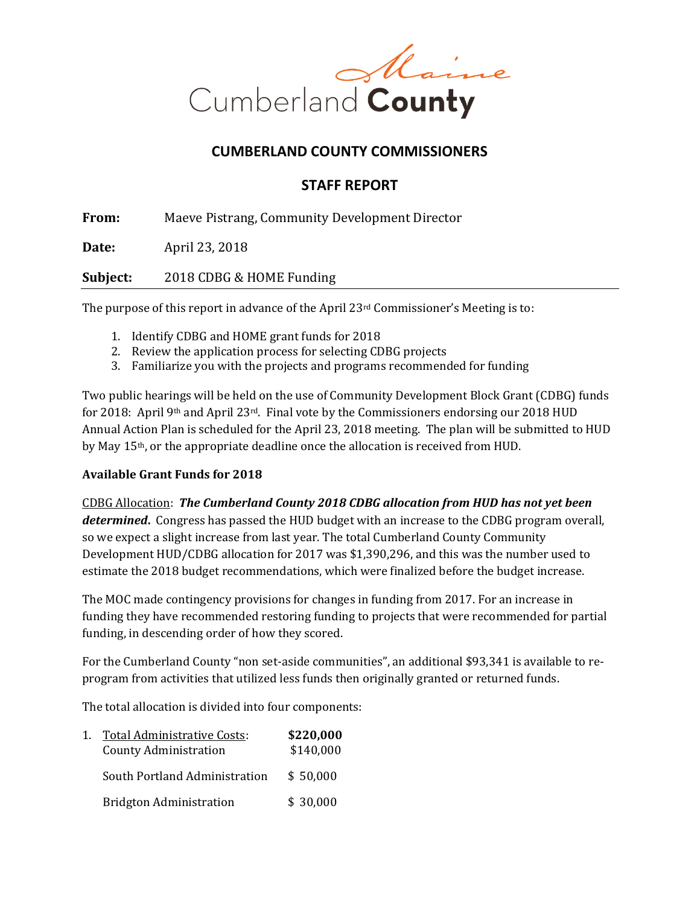

#### **CUMBERLAND COUNTY COMMISSIONERS**

#### **STAFF REPORT**

**From:** Maeve Pistrang, Community Development Director

**Date:** April 23, 2018

**Subject:** 2018 CDBG & HOME Funding

The purpose of this report in advance of the April  $23<sup>rd</sup>$  Commissioner's Meeting is to:

- 1. Identify CDBG and HOME grant funds for 2018
- 2. Review the application process for selecting CDBG projects
- 3. Familiarize you with the projects and programs recommended for funding

Two public hearings will be held on the use of Community Development Block Grant (CDBG) funds for 2018: April 9<sup>th</sup> and April 23<sup>rd</sup>. Final vote by the Commissioners endorsing our 2018 HUD Annual Action Plan is scheduled for the April 23, 2018 meeting. The plan will be submitted to HUD by May 15th, or the appropriate deadline once the allocation is received from HUD.

#### **Available Grant Funds for 2018**

CDBG Allocation: *The Cumberland County 2018 CDBG allocation from HUD has not yet been determined***.** Congress has passed the HUD budget with an increase to the CDBG program overall, so we expect a slight increase from last year. The total Cumberland County Community Development HUD/CDBG allocation for 2017 was \$1,390,296, and this was the number used to estimate the 2018 budget recommendations, which were finalized before the budget increase.

The MOC made contingency provisions for changes in funding from 2017. For an increase in funding they have recommended restoring funding to projects that were recommended for partial funding, in descending order of how they scored.

For the Cumberland County "non set-aside communities", an additional \$93,341 is available to reprogram from activities that utilized less funds then originally granted or returned funds.

The total allocation is divided into four components:

| Total Administrative Costs:<br><b>County Administration</b> | \$220,000<br>\$140,000 |  |
|-------------------------------------------------------------|------------------------|--|
| South Portland Administration                               | \$50,000               |  |
| <b>Bridgton Administration</b>                              | \$30,000               |  |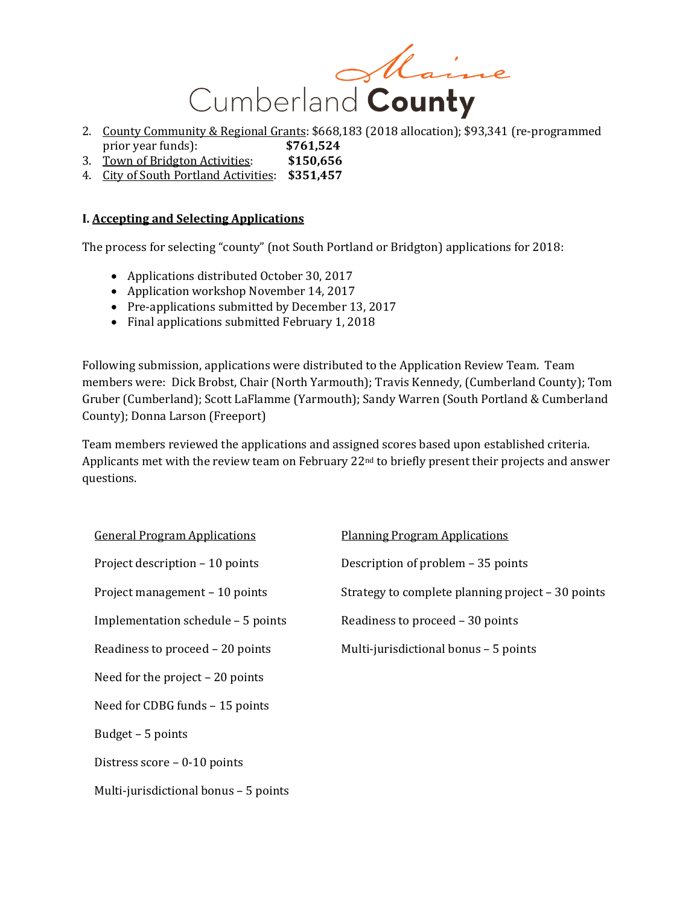

- 2. County Community & Regional Grants: \$668,183 (2018 allocation); \$93,341 (re-programmed prior year funds): **\$761,524**
- 3. Town of Bridgton Activities: **\$150,656**
- 4. City of South Portland Activities: **\$351,457**

#### **I. Accepting and Selecting Applications**

The process for selecting "county" (not South Portland or Bridgton) applications for 2018:

- Applications distributed October 30, 2017
- Application workshop November 14, 2017
- Pre-applications submitted by December 13, 2017
- Final applications submitted February 1, 2018

Following submission, applications were distributed to the Application Review Team. Team members were: Dick Brobst, Chair (North Yarmouth); Travis Kennedy, (Cumberland County); Tom Gruber (Cumberland); Scott LaFlamme (Yarmouth); Sandy Warren (South Portland & Cumberland County); Donna Larson (Freeport)

Team members reviewed the applications and assigned scores based upon established criteria. Applicants met with the review team on February 22<sup>nd</sup> to briefly present their projects and answer questions.

General Program Applications Planning Program Applications Project description – 10 points Description of problem – 35 points Implementation schedule – 5 points Readiness to proceed – 30 points Need for the project – 20 points Need for CDBG funds – 15 points Budget – 5 points Distress score – 0-10 points Multi-jurisdictional bonus – 5 points

Project management – 10 points Strategy to complete planning project – 30 points Readiness to proceed  $-20$  points Multi-jurisdictional bonus  $-5$  points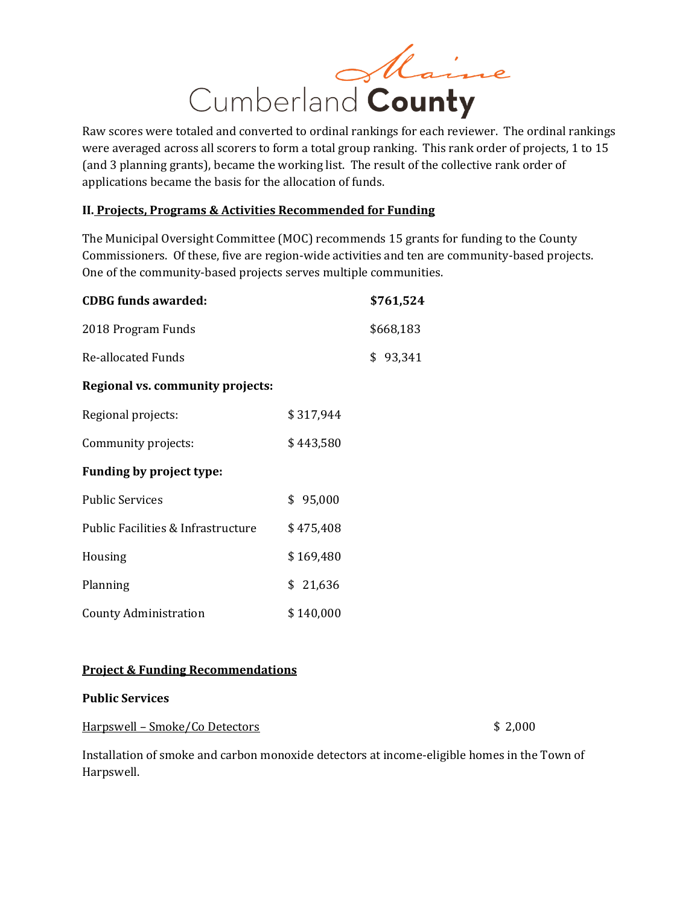

Raw scores were totaled and converted to ordinal rankings for each reviewer. The ordinal rankings were averaged across all scorers to form a total group ranking. This rank order of projects, 1 to 15 (and 3 planning grants), became the working list. The result of the collective rank order of applications became the basis for the allocation of funds.

#### **II. Projects, Programs & Activities Recommended for Funding**

The Municipal Oversight Committee (MOC) recommends 15 grants for funding to the County Commissioners. Of these, five are region-wide activities and ten are community-based projects. One of the community-based projects serves multiple communities.

| <b>CDBG</b> funds awarded:              |           | \$761,524 |
|-----------------------------------------|-----------|-----------|
| 2018 Program Funds                      |           | \$668,183 |
| <b>Re-allocated Funds</b>               |           | \$93,341  |
| <b>Regional vs. community projects:</b> |           |           |
| Regional projects:                      | \$317,944 |           |
| Community projects:                     | \$443,580 |           |
| <b>Funding by project type:</b>         |           |           |
| <b>Public Services</b>                  | \$95,000  |           |
| Public Facilities & Infrastructure      | \$475,408 |           |
| Housing                                 | \$169,480 |           |
| Planning                                | \$21,636  |           |
| County Administration                   | \$140,000 |           |

#### **Project & Funding Recommendations**

#### **Public Services**

Harpswell – Smoke/Co Detectors  $$2,000$ 

Installation of smoke and carbon monoxide detectors at income-eligible homes in the Town of Harpswell.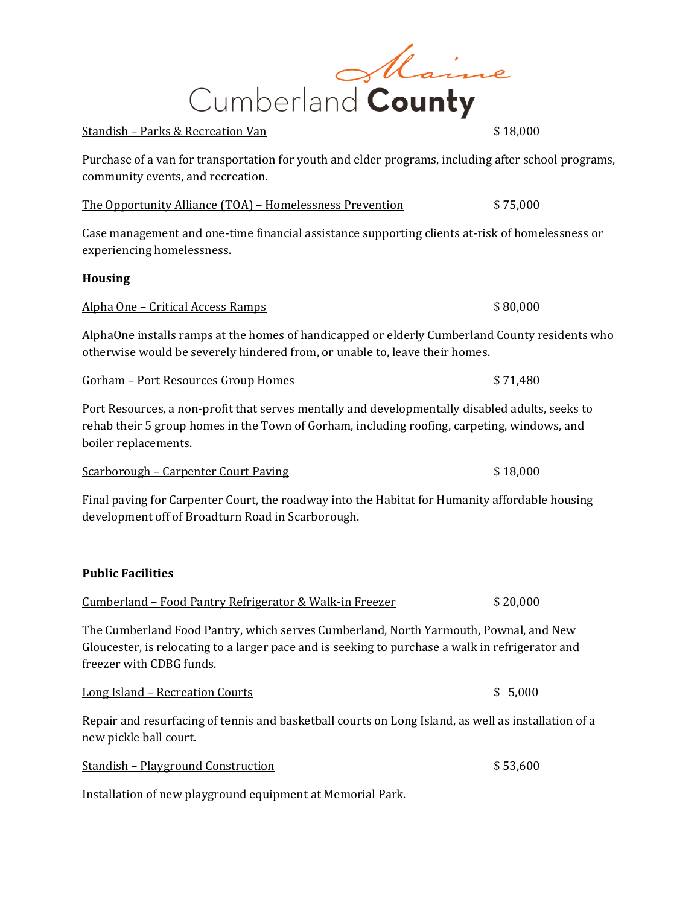# Maine Cumberland County

#### Standish – Parks & Recreation Van **\$18,000**

Purchase of a van for transportation for youth and elder programs, including after school programs, community events, and recreation.

The Opportunity Alliance (TOA) – Homelessness Prevention  $$75,000$ 

Case management and one-time financial assistance supporting clients at-risk of homelessness or experiencing homelessness.

#### **Housing**

Alpha One – Critical Access Ramps **\$ 80,000** \$ 80,000

AlphaOne installs ramps at the homes of handicapped or elderly Cumberland County residents who otherwise would be severely hindered from, or unable to, leave their homes.

Gorham – Port Resources Group Homes \$ 71,480

Port Resources, a non-profit that serves mentally and developmentally disabled adults, seeks to rehab their 5 group homes in the Town of Gorham, including roofing, carpeting, windows, and boiler replacements.

Scarborough – Carpenter Court Paving **Example 18** 18,000

Final paving for Carpenter Court, the roadway into the Habitat for Humanity affordable housing development off of Broadturn Road in Scarborough.

### **Public Facilities**

| Cumberland – Food Pantry Refrigerator & Walk-in Freezer | \$20,000 |
|---------------------------------------------------------|----------|
|                                                         |          |

The Cumberland Food Pantry, which serves Cumberland, North Yarmouth, Pownal, and New Gloucester, is relocating to a larger pace and is seeking to purchase a walk in refrigerator and freezer with CDBG funds.

Long Island – Recreation Courts \$ 5,000

Repair and resurfacing of tennis and basketball courts on Long Island, as well as installation of a new pickle ball court.

Standish – Playground Construction **\$53,600** 

Installation of new playground equipment at Memorial Park.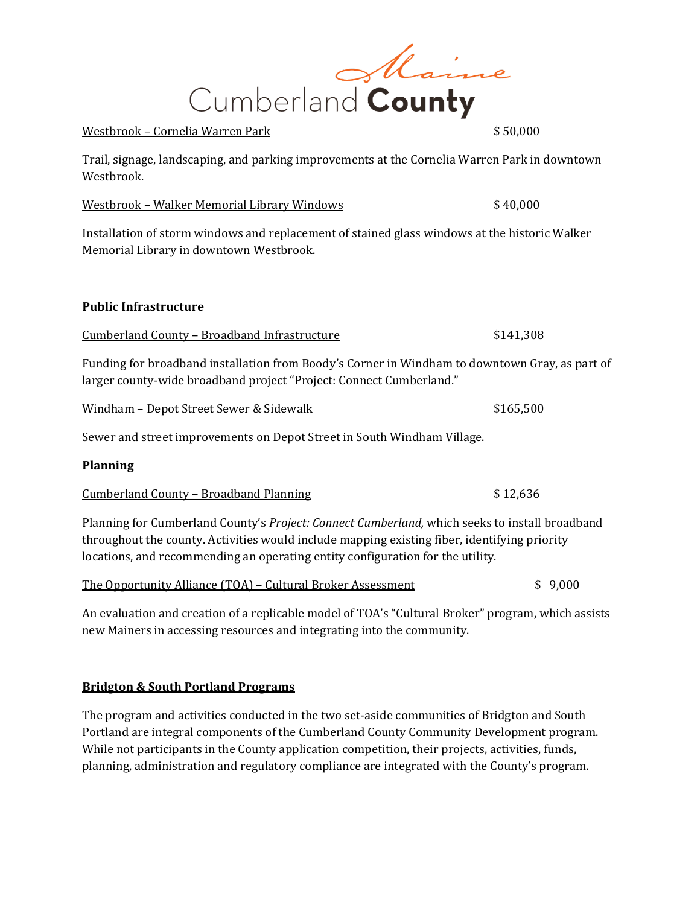

Trail, signage, landscaping, and parking improvements at the Cornelia Warren Park in downtown Westbrook.

| Westbrook - Walker Memorial Library Windows | \$40,000 |
|---------------------------------------------|----------|
|                                             |          |

Installation of storm windows and replacement of stained glass windows at the historic Walker Memorial Library in downtown Westbrook.

#### **Public Infrastructure**

#### Cumberland County – Broadband Infrastructure \$141,308

Funding for broadband installation from Boody's Corner in Windham to downtown Gray, as part of larger county-wide broadband project "Project: Connect Cumberland."

| Windham – Depot Street Sewer & Sidewalk |  |
|-----------------------------------------|--|
|-----------------------------------------|--|

Sewer and street improvements on Depot Street in South Windham Village.

#### **Planning**

Cumberland County – Broadband Planning \$ 12,636

Planning for Cumberland County's *Project: Connect Cumberland,* which seeks to install broadband throughout the county. Activities would include mapping existing fiber, identifying priority locations, and recommending an operating entity configuration for the utility.

|  | The Opportunity Alliance (TOA) – Cultural Broker Assessment | \$9,000 |  |
|--|-------------------------------------------------------------|---------|--|
|  |                                                             |         |  |

An evaluation and creation of a replicable model of TOA's "Cultural Broker" program, which assists new Mainers in accessing resources and integrating into the community.

#### **Bridgton & South Portland Programs**

The program and activities conducted in the two set-aside communities of Bridgton and South Portland are integral components of the Cumberland County Community Development program. While not participants in the County application competition, their projects, activities, funds, planning, administration and regulatory compliance are integrated with the County's program.

|  | \$ 50,000 |  |
|--|-----------|--|
|  |           |  |
|  |           |  |

 $$165,500$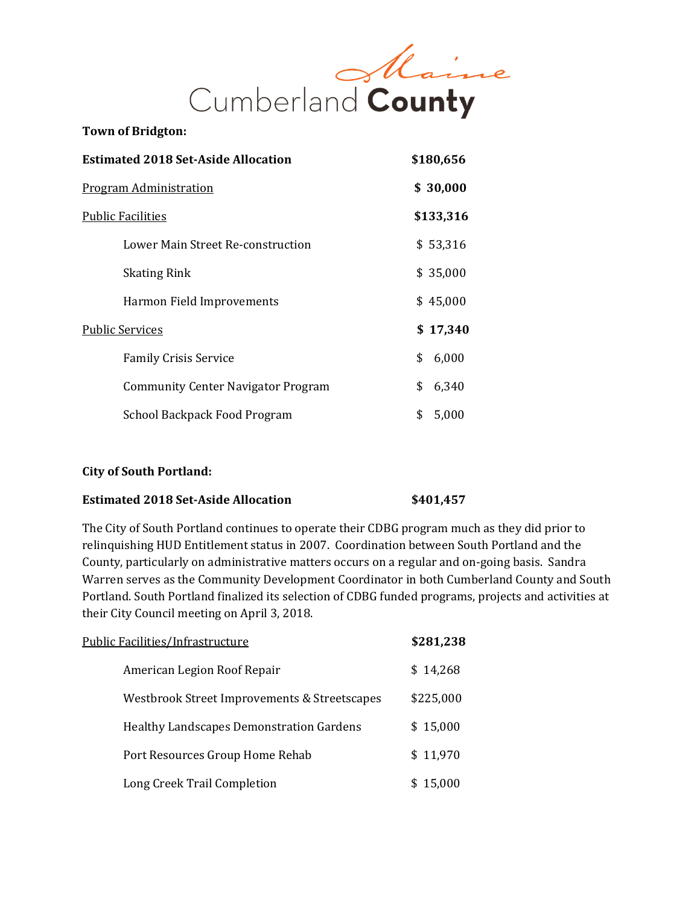

## **Estimated 2018 Set-Aside Allocation \$180,656** Program Administration **\$ 30,000** Public Facilities **\$133,316** Lower Main Street Re-construction  $$53,316$ Skating Rink \$ 35,000 Harmon Field Improvements  $$ 45,000$ Public Services **\$ 17,340** Family Crisis Service  $\qquad \qquad$  \$ 6,000 Community Center Navigator Program \$ 6,340 School Backpack Food Program  $$5,000$

#### **City of South Portland:**

#### **Estimated 2018 Set-Aside Allocation \$401,457**

The City of South Portland continues to operate their CDBG program much as they did prior to relinquishing HUD Entitlement status in 2007. Coordination between South Portland and the County, particularly on administrative matters occurs on a regular and on-going basis. Sandra Warren serves as the Community Development Coordinator in both Cumberland County and South Portland. South Portland finalized its selection of CDBG funded programs, projects and activities at their City Council meeting on April 3, 2018.

| Public Facilities/Infrastructure                | \$281,238 |
|-------------------------------------------------|-----------|
| American Legion Roof Repair                     | \$14,268  |
| Westbrook Street Improvements & Streetscapes    | \$225,000 |
| <b>Healthy Landscapes Demonstration Gardens</b> | \$15,000  |
| Port Resources Group Home Rehab                 | \$11,970  |
| Long Creek Trail Completion                     | 15,000    |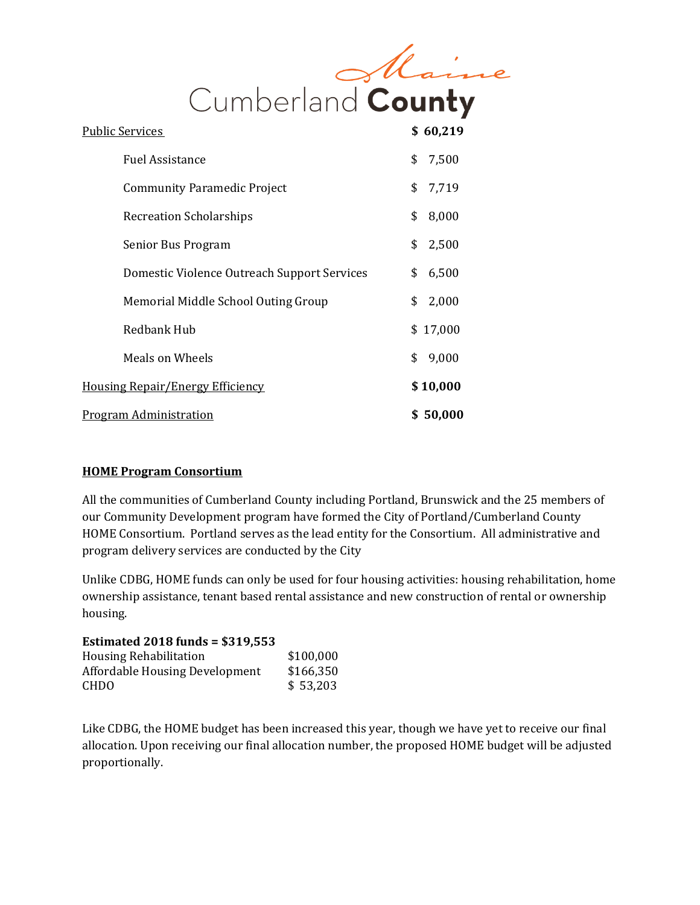

| <u> Public Services</u>                     | \$60,219    |
|---------------------------------------------|-------------|
| <b>Fuel Assistance</b>                      | \$<br>7,500 |
| <b>Community Paramedic Project</b>          | \$<br>7,719 |
| <b>Recreation Scholarships</b>              | \$<br>8,000 |
| Senior Bus Program                          | \$<br>2,500 |
| Domestic Violence Outreach Support Services | \$<br>6,500 |
| Memorial Middle School Outing Group         | \$<br>2,000 |
| <b>Redbank Hub</b>                          | \$17,000    |
| Meals on Wheels                             | \$<br>9,000 |
| <b>Housing Repair/Energy Efficiency</b>     | \$10,000    |
| <u>Program Administration</u>               | \$50,000    |

#### **HOME Program Consortium**

All the communities of Cumberland County including Portland, Brunswick and the 25 members of our Community Development program have formed the City of Portland/Cumberland County HOME Consortium. Portland serves as the lead entity for the Consortium. All administrative and program delivery services are conducted by the City

Unlike CDBG, HOME funds can only be used for four housing activities: housing rehabilitation, home ownership assistance, tenant based rental assistance and new construction of rental or ownership housing.

#### **Estimated 2018 funds = \$319,553**

| <b>Housing Rehabilitation</b>  | \$100,000 |
|--------------------------------|-----------|
| Affordable Housing Development | \$166,350 |
| <b>CHDO</b>                    | \$53,203  |

Like CDBG, the HOME budget has been increased this year, though we have yet to receive our final allocation. Upon receiving our final allocation number, the proposed HOME budget will be adjusted proportionally.